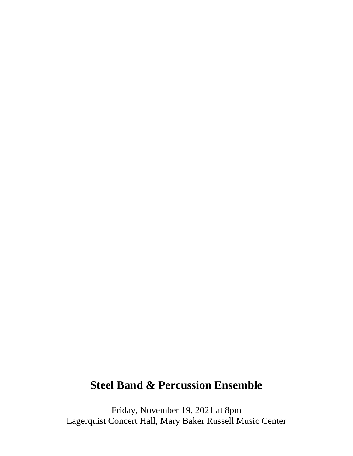# **Steel Band & Percussion Ensemble**

Friday, November 19, 2021 at 8pm Lagerquist Concert Hall, Mary Baker Russell Music Center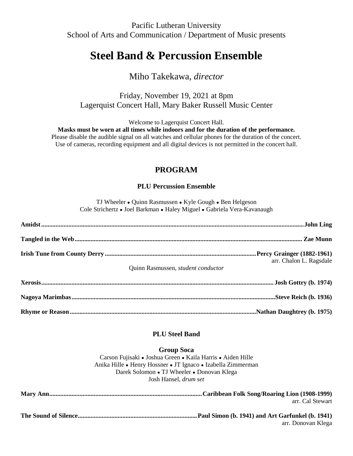Pacific Lutheran University School of Arts and Communication / Department of Music presents

# **Steel Band & Percussion Ensemble**

## Miho Takekawa, *director*

Friday, November 19, 2021 at 8pm Lagerquist Concert Hall, Mary Baker Russell Music Center

Welcome to Lagerquist Concert Hall.

**Masks must be worn at all times while indoors and for the duration of the performance.** Please disable the audible signal on all watches and cellular phones for the duration of the concert.

Use of cameras, recording equipment and all digital devices is not permitted in the concert hall.

### **PROGRAM**

#### **PLU Percussion Ensemble**

TJ Wheeler ● Quinn Rasmussen ● Kyle Gough ● Ben Helgeson Cole Strichertz ● Joel Barkman ● Haley Miguel ● Gabriela Vera-Kavanaugh

| arr. Chalon L. Ragsdale<br>Quinn Rasmussen, student conductor |
|---------------------------------------------------------------|
|                                                               |
|                                                               |
|                                                               |

#### **PLU Steel Band**

#### **Group Soca**

Carson Fujisaki ● Joshua Green ● Kaila Harris ● Aiden Hille Anika Hille ● Henry Hossner ● JT Ignaco ● Izabella Zimmerman Darek Solomon ● TJ Wheeler ● Donovan Klega Josh Hansel, *drum set*

| arr. Cal Stewart   |
|--------------------|
| arr. Donovan Klega |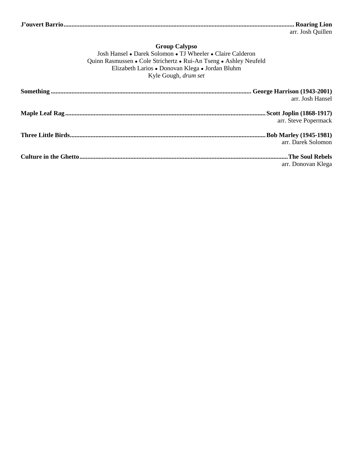| arr. Josh Quillen |
|-------------------|

#### **Group Calypso** Josh Hansel ● Darek Solomon ● TJ Wheeler ● Claire Calderon Quinn Rasmussen ● Cole Strichertz ● Rui-An Tseng ● Ashley Neufeld Elizabeth Larios ● Donovan Klega ● Jordan Bluhm Kyle Gough, *drum set*

| arr. Josh Hansel     |
|----------------------|
|                      |
| arr. Steve Popermack |
| arr. Darek Solomon   |
|                      |
| arr. Donovan Klega   |